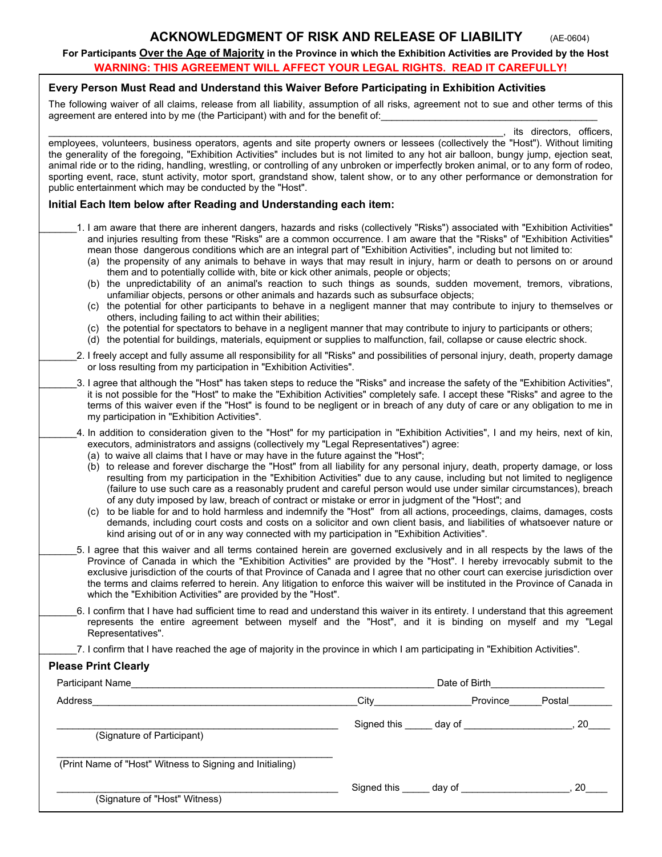#### **CKNOWLEDGMENT OF RISK AND RELEASE OF LIABILITY (AE-0604)**

**For Participants Over the Age of Majority in the Province in which the Exhibition Activities are Provided by the Host WARNING: THIS AGREEMENT WILL AFFECT YOUR LEGAL RIGHTS. READ IT CAREFULLY!** 

## **Every Person Must Read and Understand this Waiver Before Participating in Exhibition Activities**

The following waiver of all claims, release from all liability, assumption of all risks, agreement not to sue and other terms of this agreement are entered into by me (the Participant) with and for the benefit of:

its directors, officers, employees, volunteers, business operators, agents and site property owners or lessees (collectively the "Host"). Without limiting the generality of the foregoing, "Exhibition Activities" includes but is not limited to any hot air balloon, bungy jump, ejection seat, animal ride or to the riding, handling, wrestling, or controlling of any unbroken or imperfectly broken animal, or to any form of rodeo, sporting event, race, stunt activity, motor sport, grandstand show, talent show, or to any other performance or demonstration for public entertainment which may be conducted by the "Host".

#### **Initial Each Item below after Reading and Understanding each item:**

- \_\_\_\_\_\_\_1. I am aware that there are inherent dangers, hazards and risks (collectively "Risks") associated with "Exhibition Activities" and injuries resulting from these "Risks" are a common occurrence. I am aware that the "Risks" of "Exhibition Activities" mean those dangerous conditions which are an integral part of "Exhibition Activities", including but not limited to:
	- (a) the propensity of any animals to behave in ways that may result in injury, harm or death to persons on or around them and to potentially collide with, bite or kick other animals, people or objects;
	- (b) the unpredictability of an animal's reaction to such things as sounds, sudden movement, tremors, vibrations, unfamiliar objects, persons or other animals and hazards such as subsurface objects;
	- (c) the potential for other participants to behave in a negligent manner that may contribute to injury to themselves or others, including failing to act within their abilities;
	- (c) the potential for spectators to behave in a negligent manner that may contribute to injury to participants or others;
	- (d) the potential for buildings, materials, equipment or supplies to malfunction, fail, collapse or cause electric shock.
- 2. I freely accept and fully assume all responsibility for all "Risks" and possibilities of personal injury, death, property damage or loss resulting from my participation in "Exhibition Activities".
- \_\_\_\_\_\_\_3. I agree that although the "Host" has taken steps to reduce the "Risks" and increase the safety of the "Exhibition Activities", it is not possible for the "Host" to make the "Exhibition Activities" completely safe. I accept these "Risks" and agree to the terms of this waiver even if the "Host" is found to be negligent or in breach of any duty of care or any obligation to me in my participation in "Exhibition Activities".
	- 4. In addition to consideration given to the "Host" for my participation in "Exhibition Activities", I and my heirs, next of kin, executors, administrators and assigns (collectively my "Legal Representatives") agree:
		- (a) to waive all claims that I have or may have in the future against the "Host";
		- (b) to release and forever discharge the "Host" from all liability for any personal injury, death, property damage, or loss resulting from my participation in the "Exhibition Activities" due to any cause, including but not limited to negligence (failure to use such care as a reasonably prudent and careful person would use under similar circumstances), breach of any duty imposed by law, breach of contract or mistake or error in judgment of the "Host"; and
		- (c) to be liable for and to hold harmless and indemnify the "Host" from all actions, proceedings, claims, damages, costs demands, including court costs and costs on a solicitor and own client basis, and liabilities of whatsoever nature or kind arising out of or in any way connected with my participation in "Exhibition Activities".
	- \_\_\_\_\_\_\_5. I agree that this waiver and all terms contained herein are governed exclusively and in all respects by the laws of the Province of Canada in which the "Exhibition Activities" are provided by the "Host". I hereby irrevocably submit to the exclusive jurisdiction of the courts of that Province of Canada and I agree that no other court can exercise jurisdiction over the terms and claims referred to herein. Any litigation to enforce this waiver will be instituted in the Province of Canada in which the "Exhibition Activities" are provided by the "Host".
	- \_\_\_\_\_\_\_6. I confirm that I have had sufficient time to read and understand this waiver in its entirety. I understand that this agreement represents the entire agreement between myself and the "Host", and it is binding on myself and my "Legal Representatives".
	- 7. I confirm that I have reached the age of majority in the province in which I am participating in "Exhibition Activities".

### **Please Print Clearly**

| <b>Participant Name</b>                                  | Date of Birth Date of Birth |                                        |        |
|----------------------------------------------------------|-----------------------------|----------------------------------------|--------|
| Address                                                  |                             | Province                               | Postal |
| (Signature of Participant)                               |                             | Signed this ______ day of ____________ | 20     |
| (Print Name of "Host" Witness to Signing and Initialing) |                             |                                        |        |
| (Signature of "Host" Witness)                            |                             | Signed this day of                     | 20     |